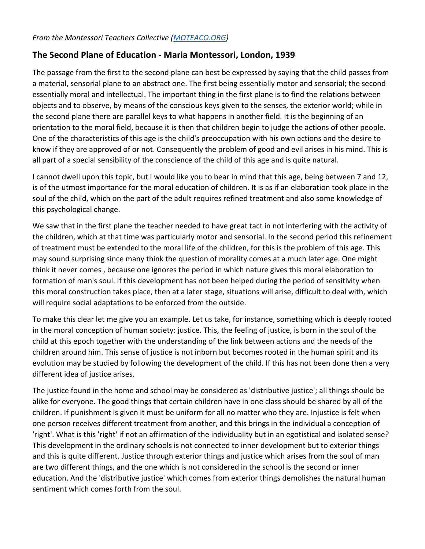## *From the Montessori Teachers Collective [\(MOTEACO.ORG\)](https://moteaco.org/)*

## **The Second Plane of Education - Maria Montessori, London, 1939**

The passage from the first to the second plane can best be expressed by saying that the child passes from a material, sensorial plane to an abstract one. The first being essentially motor and sensorial; the second essentially moral and intellectual. The important thing in the first plane is to find the relations between objects and to observe, by means of the conscious keys given to the senses, the exterior world; while in the second plane there are parallel keys to what happens in another field. It is the beginning of an orientation to the moral field, because it is then that children begin to judge the actions of other people. One of the characteristics of this age is the child's preoccupation with his own actions and the desire to know if they are approved of or not. Consequently the problem of good and evil arises in his mind. This is all part of a special sensibility of the conscience of the child of this age and is quite natural.

I cannot dwell upon this topic, but I would like you to bear in mind that this age, being between 7 and 12, is of the utmost importance for the moral education of children. It is as if an elaboration took place in the soul of the child, which on the part of the adult requires refined treatment and also some knowledge of this psychological change.

We saw that in the first plane the teacher needed to have great tact in not interfering with the activity of the children, which at that time was particularly motor and sensorial. In the second period this refinement of treatment must be extended to the moral life of the children, for this is the problem of this age. This may sound surprising since many think the question of morality comes at a much later age. One might think it never comes , because one ignores the period in which nature gives this moral elaboration to formation of man's soul. If this development has not been helped during the period of sensitivity when this moral construction takes place, then at a later stage, situations will arise, difficult to deal with, which will require social adaptations to be enforced from the outside.

To make this clear let me give you an example. Let us take, for instance, something which is deeply rooted in the moral conception of human society: justice. This, the feeling of justice, is born in the soul of the child at this epoch together with the understanding of the link between actions and the needs of the children around him. This sense of justice is not inborn but becomes rooted in the human spirit and its evolution may be studied by following the development of the child. If this has not been done then a very different idea of justice arises.

The justice found in the home and school may be considered as 'distributive justice'; all things should be alike for everyone. The good things that certain children have in one class should be shared by all of the children. If punishment is given it must be uniform for all no matter who they are. Injustice is felt when one person receives different treatment from another, and this brings in the individual a conception of 'right'. What is this 'right' if not an affirmation of the individuality but in an egotistical and isolated sense? This development in the ordinary schools is not connected to inner development but to exterior things and this is quite different. Justice through exterior things and justice which arises from the soul of man are two different things, and the one which is not considered in the school is the second or inner education. And the 'distributive justice' which comes from exterior things demolishes the natural human sentiment which comes forth from the soul.